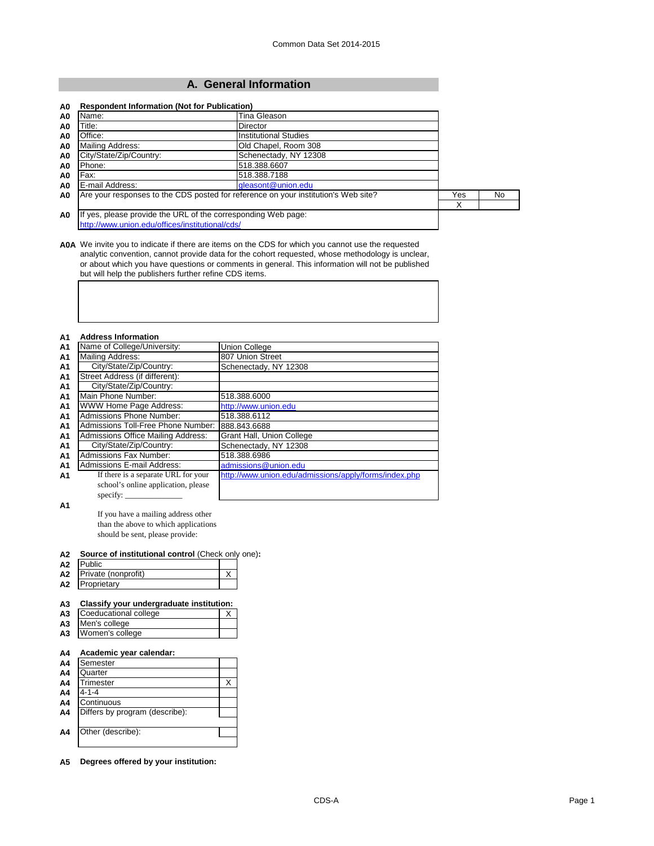## **A. General Information**

| Name:<br>A0                                                                        | Tina Gleason                                                  |     |     |
|------------------------------------------------------------------------------------|---------------------------------------------------------------|-----|-----|
| Title:<br>A0                                                                       | Director                                                      |     |     |
| Office:<br>A <sub>0</sub>                                                          | <b>Institutional Studies</b>                                  |     |     |
| Mailing Address:<br>A <sub>0</sub>                                                 | Old Chapel, Room 308                                          |     |     |
| City/State/Zip/Country:<br>A0                                                      | Schenectady, NY 12308                                         |     |     |
| Phone:<br>A <sub>0</sub>                                                           | 518.388.6607                                                  |     |     |
| Fax:<br>A <sub>0</sub>                                                             | 518.388.7188                                                  |     |     |
| E-mail Address:<br>A <sub>0</sub>                                                  | gleasont@union.edu                                            |     |     |
| Are your responses to the CDS posted for reference on your institution's Web site? |                                                               | Yes | No. |
|                                                                                    |                                                               | X   |     |
| A <sub>0</sub>                                                                     | If yes, please provide the URL of the corresponding Web page: |     |     |
| http://www.union.edu/offices/institutional/cds/                                    |                                                               |     |     |

**A0A** We invite you to indicate if there are items on the CDS for which you cannot use the requested analytic convention, cannot provide data for the cohort requested, whose methodology is unclear, or about which you have questions or comments in general. This information will not be published but will help the publishers further refine CDS items.

|  | Α1 |  | <b>Address Information</b> |
|--|----|--|----------------------------|
|--|----|--|----------------------------|

| Name of College/University:               | Union College                                         |
|-------------------------------------------|-------------------------------------------------------|
| Mailing Address:                          | 807 Union Street                                      |
| City/State/Zip/Country:                   | Schenectady, NY 12308                                 |
| Street Address (if different):            |                                                       |
| City/State/Zip/Country:                   |                                                       |
| Main Phone Number:                        | 518.388.6000                                          |
| WWW Home Page Address:                    | http://www.union.edu                                  |
| Admissions Phone Number:                  | 518.388.6112                                          |
| Admissions Toll-Free Phone Number:        | 888.843.6688                                          |
| <b>Admissions Office Mailing Address:</b> | Grant Hall, Union College                             |
| City/State/Zip/Country:                   | Schenectady, NY 12308                                 |
| <b>Admissions Fax Number:</b>             | 518.388.6986                                          |
| <b>Admissions E-mail Address:</b>         | admissions@union.edu                                  |
| If there is a separate URL for your       | http://www.union.edu/admissions/apply/forms/index.php |
| school's online application, please       |                                                       |
| specify: $\overline{\phantom{a}}$         |                                                       |
|                                           |                                                       |

**A1**

If you have a mailing address other than the above to which applications should be sent, please provide:

## **A2 Source of institutional control** (Check only one)**:**

| ハつ | hlic                |  |
|----|---------------------|--|
| A2 | Private (nonprofit) |  |
| ハつ | roprietarv          |  |

## **A3 Classify your undergraduate institution:**

| <b>A3</b> Coeducational college |  |
|---------------------------------|--|
| A3 Men's college                |  |
| A3 Women's college              |  |

## **A4 Academic year calendar:**

| A4             | Semester                       |  |
|----------------|--------------------------------|--|
| A4             | Quarter                        |  |
| A4             | Trimester                      |  |
| A4             | $4 - 1 - 4$                    |  |
| A4             | Continuous                     |  |
| A <sub>4</sub> | Differs by program (describe): |  |
|                |                                |  |
| A4             | Other (describe):              |  |
|                |                                |  |

**A5 Degrees offered by your institution:**